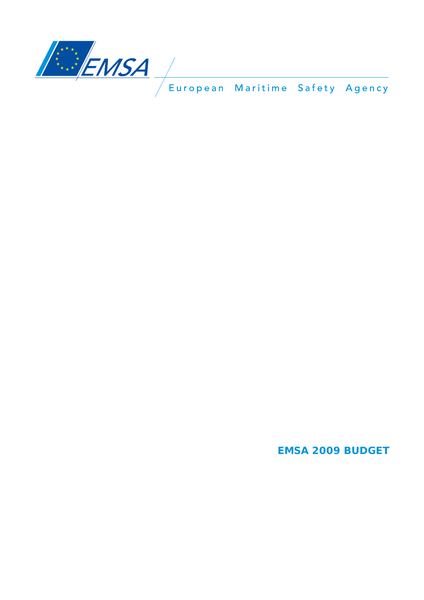

**EMSA 2009 BUDGET**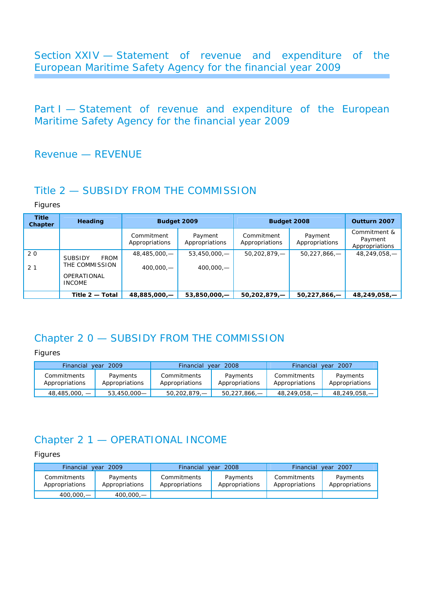Section XXIV — Statement of revenue and expenditure of the European Maritime Safety Agency for the financial year 2009

Part I - Statement of revenue and expenditure of the European Maritime Safety Agency for the financial year 2009

### Revenue — REVENUE

### Title 2 — SUBSIDY FROM THE COMMISSION

*Figures* 

| <b>Title</b><br>Chapter | Heading                |                              | Budget 2009               |                              | Budget 2008               |                                           |
|-------------------------|------------------------|------------------------------|---------------------------|------------------------------|---------------------------|-------------------------------------------|
|                         |                        | Commitment<br>Appropriations | Payment<br>Appropriations | Commitment<br>Appropriations | Payment<br>Appropriations | Commitment &<br>Payment<br>Appropriations |
| 20                      | FROM<br><b>SUBSIDY</b> | $48,485,000,$ -              | $53,450,000,$ —           | 50,202,879,                  | $50,227,866,$ -           | 48,249,058,-                              |
| 2 <sub>1</sub>          | THE COMMISSION         | $400,000,$ —                 | $400.000 -$               |                              |                           |                                           |
|                         | <b>OPERATIONAL</b>     |                              |                           |                              |                           |                                           |
|                         | <b>INCOME</b>          |                              |                           |                              |                           |                                           |
|                         | Title 2 - Total        | 48,885,000,-                 | $53,850,000,$ -           | $50,202,879, -$              | $50,227,866$ –            | 48,249,058,-                              |

### Chapter 2 0 — SUBSIDY FROM THE COMMISSION

*Figures* 

| Financial year 2009           |                            | Financial year 2008           |                            | Financial year 2007           |                            |  |
|-------------------------------|----------------------------|-------------------------------|----------------------------|-------------------------------|----------------------------|--|
| Commitments<br>Appropriations | Payments<br>Appropriations | Commitments<br>Appropriations | Payments<br>Appropriations | Commitments<br>Appropriations | Payments<br>Appropriations |  |
| $48,485,000, -$               | 53,450,000—                | $50,202,879,$ —               | $50,227,866,$ –            | 48,249,058,—                  | $48,249,058,$ -            |  |

## Chapter 2 1 — OPERATIONAL INCOME

| Financial year 2009           |                            | Financial                     | vear 2008                  | <b>Financial</b><br>vear 2007 |                            |  |
|-------------------------------|----------------------------|-------------------------------|----------------------------|-------------------------------|----------------------------|--|
| Commitments<br>Appropriations | Payments<br>Appropriations | Commitments<br>Appropriations | Payments<br>Appropriations | Commitments<br>Appropriations | Payments<br>Appropriations |  |
| 400,000,—                     | $400,000,$ —               |                               |                            |                               |                            |  |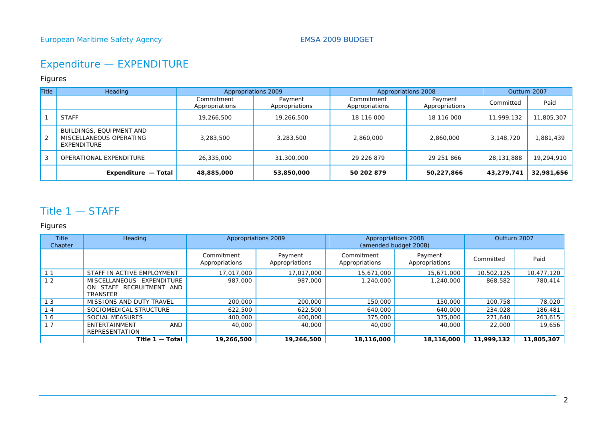# Expenditure — EXPENDITURE

#### *Figures*

| <b>Title</b> | Heading                                                            |                              | Appropriations 2009       |                              | Appropriations 2008       |            | Outturn 2007 |
|--------------|--------------------------------------------------------------------|------------------------------|---------------------------|------------------------------|---------------------------|------------|--------------|
|              |                                                                    | Commitment<br>Appropriations | Payment<br>Appropriations | Commitment<br>Appropriations | Payment<br>Appropriations | Committed  | Paid         |
|              | <b>STAFF</b>                                                       | 19,266,500                   | 19,266,500                | 18 116 000                   | 18 116 000                | 11,999,132 | 11,805,307   |
| 2            | BUILDINGS, EQUIPMENT AND<br>MISCELLANEOUS OPERATING<br>EXPENDITURE | 3,283,500                    | 3,283,500                 | 2,860,000                    | 2,860,000                 | 3,148,720  | 1,881,439    |
|              | OPERATIONAL EXPENDITURE                                            | 26,335,000                   | 31,300,000                | 29 226 879                   | 29 251 866                | 28,131,888 | 19,294,910   |
|              | Expenditure - Total                                                | 48,885,000                   | 53,850,000                | 50 202 879                   | 50,227,866                | 43,279,741 | 32,981,656   |

#### Title 1 — STAFF

| <b>Title</b><br>Chapter | Heading                                                                  | Appropriations 2009<br>Appropriations 2008<br>(amended budget 2008) |                           |                              | Outturn 2007              |            |            |
|-------------------------|--------------------------------------------------------------------------|---------------------------------------------------------------------|---------------------------|------------------------------|---------------------------|------------|------------|
|                         |                                                                          | Commitment<br>Appropriations                                        | Payment<br>Appropriations | Commitment<br>Appropriations | Payment<br>Appropriations | Committed  | Paid       |
|                         | STAFF IN ACTIVE EMPLOYMENT                                               | 17,017,000                                                          | 17,017,000                | 15,671,000                   | 15,671,000                | 10,502,125 | 10,477,120 |
| 12                      | MISCELLANEOUS EXPENDITURE<br>ON STAFF RECRUITMENT AND<br><b>TRANSFER</b> | 987,000                                                             | 987,000                   | 1,240,000                    | 1,240,000                 | 868,582    | 780.414    |
| 1 <sub>3</sub>          | MISSIONS AND DUTY TRAVEL                                                 | 200,000                                                             | 200,000                   | 150,000                      | 150,000                   | 100,758    | 78,020     |
| 14                      | SOCIOMEDICAL STRUCTURE                                                   | 622,500                                                             | 622,500                   | 640,000                      | 640,000                   | 234,028    | 186,481    |
| 16                      | <b>SOCIAL MEASURES</b>                                                   | 400,000                                                             | 400,000                   | 375,000                      | 375,000                   | 271,640    | 263,615    |
| 17                      | AND<br>ENTERTAINMENT<br><b>REPRESENTATION</b>                            | 40,000                                                              | 40,000                    | 40,000                       | 40,000                    | 22,000     | 19,656     |
|                         | Title 1 - Total                                                          | 19,266,500                                                          | 19,266,500                | 18,116,000                   | 18,116,000                | 11.999.132 | 11.805.307 |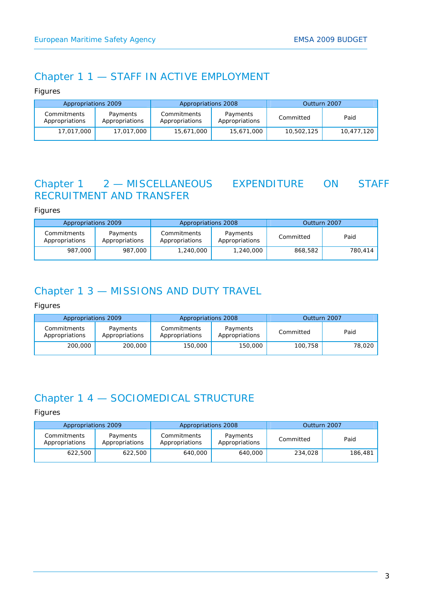### Chapter 1 1 — STAFF IN ACTIVE EMPLOYMENT

*Figures* 

| Appropriations 2009           |                            | Appropriations 2008           |                            | Outturn 2007 |            |  |
|-------------------------------|----------------------------|-------------------------------|----------------------------|--------------|------------|--|
| Commitments<br>Appropriations | Payments<br>Appropriations | Commitments<br>Appropriations | Payments<br>Appropriations | Committed    | Paid       |  |
| 17,017,000                    | 17,017,000                 | 15,671,000                    | 15,671,000                 | 10,502,125   | 10,477,120 |  |

### Chapter 1 2 — MISCELLANEOUS EXPENDITURE ON STAFF RECRUITMENT AND TRANSFER

*Figures* 

| Appropriations 2009           |                            | Appropriations 2008           |                            | Outturn 2007 |         |  |
|-------------------------------|----------------------------|-------------------------------|----------------------------|--------------|---------|--|
| Commitments<br>Appropriations | Payments<br>Appropriations | Commitments<br>Appropriations | Payments<br>Appropriations | Committed    | Paid    |  |
| 987,000                       | 987,000                    | 1,240,000                     | 1,240,000                  | 868,582      | 780,414 |  |

## Chapter 1 3 — MISSIONS AND DUTY TRAVEL

*Figures* 

| Appropriations 2009           |                            | Appropriations 2008           |                            | Outturn 2007 |        |  |
|-------------------------------|----------------------------|-------------------------------|----------------------------|--------------|--------|--|
| Commitments<br>Appropriations | Payments<br>Appropriations | Commitments<br>Appropriations | Payments<br>Appropriations | Committed    | Paid   |  |
| 200,000                       | 200,000                    | 150,000                       | 150,000                    | 100,758      | 78,020 |  |

# Chapter 1 4 — SOCIOMEDICAL STRUCTURE

| Appropriations 2009           |                            | Appropriations 2008           |                            | Outturn 2007 |         |  |
|-------------------------------|----------------------------|-------------------------------|----------------------------|--------------|---------|--|
| Commitments<br>Appropriations | Payments<br>Appropriations | Commitments<br>Appropriations | Payments<br>Appropriations | Committed    | Paid    |  |
| 622,500                       | 622,500                    | 640,000                       | 640,000                    | 234,028      | 186,481 |  |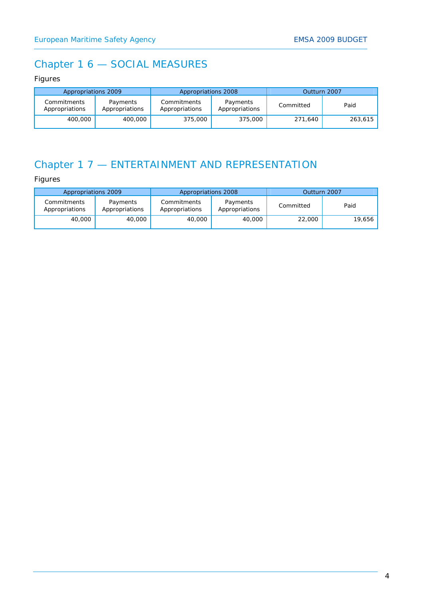# Chapter 1 6 — SOCIAL MEASURES

#### *Figures*

| Appropriations 2009           |                            | Appropriations 2008           |                            | Outturn 2007 |         |  |
|-------------------------------|----------------------------|-------------------------------|----------------------------|--------------|---------|--|
| Commitments<br>Appropriations | Payments<br>Appropriations | Commitments<br>Appropriations | Payments<br>Appropriations | Committed    | Paid    |  |
| 400,000                       | 400,000                    | 375,000                       | 375,000                    | 271,640      | 263,615 |  |

# Chapter 1 7 — ENTERTAINMENT AND REPRESENTATION

| Appropriations 2009           |                            | Appropriations 2008           |                            | Outturn 2007 |        |  |
|-------------------------------|----------------------------|-------------------------------|----------------------------|--------------|--------|--|
| Commitments<br>Appropriations | Payments<br>Appropriations | Commitments<br>Appropriations | Payments<br>Appropriations | Committed    | Paid   |  |
| 40,000                        | 40,000                     | 40,000                        | 40,000                     | 22,000       | 19,656 |  |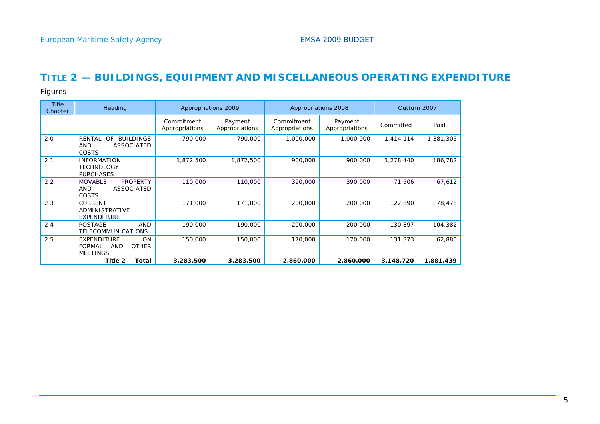## **TITLE 2 — BUILDINGS, EQUIPMENT AND MISCELLANEOUS OPERATING EXPENDITURE**

| <b>Title</b><br>Chapter | Heading                                                                                           |                              | Appropriations 2009       |                              | Appropriations 2008       | Outturn 2007 |           |
|-------------------------|---------------------------------------------------------------------------------------------------|------------------------------|---------------------------|------------------------------|---------------------------|--------------|-----------|
|                         |                                                                                                   | Commitment<br>Appropriations | Payment<br>Appropriations | Commitment<br>Appropriations | Payment<br>Appropriations | Committed    | Paid      |
| 20                      | <b>RENTAL</b><br><b>OF</b><br><b>BUILDINGS</b><br><b>ASSOCIATED</b><br><b>AND</b><br><b>COSTS</b> | 790,000                      | 790,000                   | 1,000,000                    | 1,000,000                 | 1,414,114    | 1,381,305 |
| 2 <sub>1</sub>          | <b>INFORMATION</b><br><b>TECHNOLOGY</b><br><b>PURCHASES</b>                                       | 1,872,500                    | 1,872,500                 | 900,000                      | 900,000                   | 1,278,440    | 186,782   |
| 2 <sub>2</sub>          | <b>MOVABLE</b><br><b>PROPERTY</b><br><b>ASSOCIATED</b><br><b>AND</b><br>COSTS                     | 110,000                      | 110,000                   | 390,000                      | 390,000                   | 71,506       | 67,612    |
| 23                      | <b>CURRENT</b><br>ADMINISTRATIVE<br><b>EXPENDITURE</b>                                            | 171,000                      | 171,000                   | 200,000                      | 200,000                   | 122,890      | 78,478    |
| 24                      | <b>POSTAGE</b><br><b>AND</b><br><b>TELECOMMUNICATIONS</b>                                         | 190,000                      | 190,000                   | 200,000                      | 200,000                   | 130,397      | 104,382   |
| 25                      | <b>EXPENDITURE</b><br><b>ON</b><br><b>FORMAL</b><br><b>AND</b><br><b>OTHER</b><br><b>MEETINGS</b> | 150,000                      | 150,000                   | 170,000                      | 170,000                   | 131,373      | 62,880    |
|                         | Title 2 - Total                                                                                   | 3,283,500                    | 3,283,500                 | 2,860,000                    | 2,860,000                 | 3,148,720    | 1,881,439 |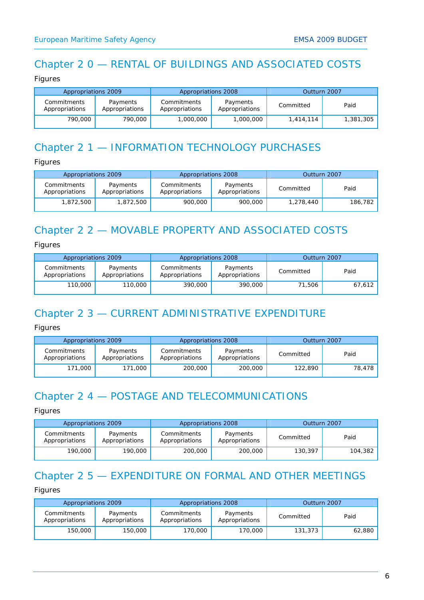## Chapter 2 0 — RENTAL OF BUILDINGS AND ASSOCIATED COSTS

#### *Figures*

| Appropriations 2009           |                            | Appropriations 2008                                         |           | Outturn 2007 |           |
|-------------------------------|----------------------------|-------------------------------------------------------------|-----------|--------------|-----------|
| Commitments<br>Appropriations | Payments<br>Appropriations | Commitments<br>Payments<br>Appropriations<br>Appropriations |           | Committed    | Paid      |
| 790,000                       | 790,000                    | 1,000,000                                                   | 1,000,000 | 1,414,114    | 1,381,305 |

## Chapter 2 1 — INFORMATION TECHNOLOGY PURCHASES

*Figures* 

| Appropriations 2009           |                            | Appropriations 2008           |                            | Outturn 2007 |         |
|-------------------------------|----------------------------|-------------------------------|----------------------------|--------------|---------|
| Commitments<br>Appropriations | Payments<br>Appropriations | Commitments<br>Appropriations | Payments<br>Appropriations | Committed    | Paid    |
| 1,872,500                     | 1,872,500                  | 900,000                       | 900,000                    | 1,278,440    | 186,782 |

# Chapter 2 2 — MOVABLE PROPERTY AND ASSOCIATED COSTS

*Figures* 

| Appropriations 2009           |                            | Appropriations 2008           |                            | Outturn 2007 |        |
|-------------------------------|----------------------------|-------------------------------|----------------------------|--------------|--------|
| Commitments<br>Appropriations | Payments<br>Appropriations | Commitments<br>Appropriations | Payments<br>Appropriations | Committed    | Paid   |
| 110,000                       | 110,000                    | 390,000                       | 390,000                    | 71.506       | 67,612 |

# Chapter 2 3 — CURRENT ADMINISTRATIVE EXPENDITURE

*Figures* 

| Appropriations 2009           |                            | Appropriations 2008           |                            | Outturn 2007 |        |
|-------------------------------|----------------------------|-------------------------------|----------------------------|--------------|--------|
| Commitments<br>Appropriations | Payments<br>Appropriations | Commitments<br>Appropriations | Payments<br>Appropriations |              | Paid   |
| 171,000                       | 171,000                    | 200,000                       | 200,000                    | 122,890      | 78,478 |

# Chapter 2 4 — POSTAGE AND TELECOMMUNICATIONS

*Figures* 

| Appropriations 2009           |                            | Appropriations 2008           |                                         | Outturn 2007 |         |
|-------------------------------|----------------------------|-------------------------------|-----------------------------------------|--------------|---------|
| Commitments<br>Appropriations | Payments<br>Appropriations | Commitments<br>Appropriations | Payments<br>Committed<br>Appropriations |              | Paid    |
| 190,000                       | 190,000                    | 200,000                       | 200,000                                 | 130,397      | 104,382 |

## Chapter 2 5 — EXPENDITURE ON FORMAL AND OTHER MEETINGS

| Appropriations 2009           |                            | Appropriations 2008           |                            | Outturn 2007 |        |
|-------------------------------|----------------------------|-------------------------------|----------------------------|--------------|--------|
| Commitments<br>Appropriations | Payments<br>Appropriations | Commitments<br>Appropriations | Payments<br>Appropriations | Committed    | Paid   |
| 150,000                       | 150,000                    | 170,000                       | 170,000                    | 131,373      | 62,880 |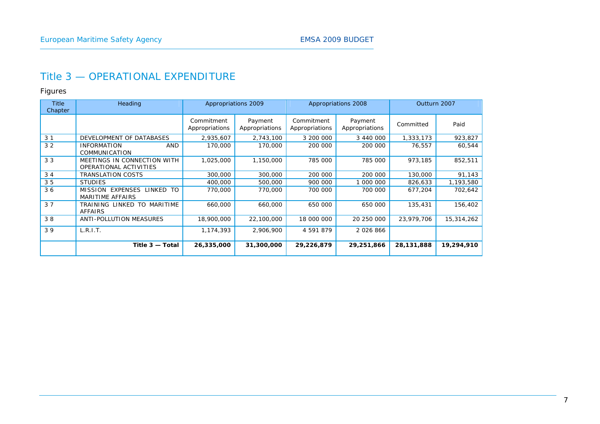### Title 3 — OPERATIONAL EXPENDITURE

| <b>Title</b><br>Chapter | Heading                                               | Appropriations 2009<br>Appropriations 2008 |                           |                              |                           | Outturn 2007 |            |
|-------------------------|-------------------------------------------------------|--------------------------------------------|---------------------------|------------------------------|---------------------------|--------------|------------|
|                         |                                                       | Commitment<br>Appropriations               | Payment<br>Appropriations | Commitment<br>Appropriations | Payment<br>Appropriations | Committed    | Paid       |
| 3 <sub>1</sub>          | DEVELOPMENT OF DATABASES                              | 2,935,607                                  | 2,743,100                 | 3 200 000                    | 3 440 000                 | 1,333,173    | 923,827    |
| 3 <sub>2</sub>          | <b>AND</b><br><b>INFORMATION</b><br>COMMUNICATION     | 170,000                                    | 170,000                   | 200 000                      | 200 000                   | 76,557       | 60,544     |
| 33                      | MEETINGS IN CONNECTION WITH<br>OPERATIONAL ACTIVITIES | 1,025,000                                  | 1,150,000                 | 785 000                      | 785 000                   | 973,185      | 852,511    |
| 34                      | <b>TRANSLATION COSTS</b>                              | 300,000                                    | 300,000                   | 200 000                      | 200 000                   | 130,000      | 91,143     |
| 35                      | <b>STUDIES</b>                                        | 400,000                                    | 500,000                   | 900 000                      | 000 000                   | 826,633      | 1,193,580  |
| 36                      | MISSION EXPENSES LINKED TO<br><b>MARITIME AFFAIRS</b> | 770,000                                    | 770,000                   | 700 000                      | 700 000                   | 677.204      | 702.642    |
| 37                      | TRAINING LINKED TO MARITIME<br><b>AFFAIRS</b>         | 660,000                                    | 660,000                   | 650 000                      | 650 000                   | 135,431      | 156,402    |
| 38                      | ANTI-POLLUTION MEASURES                               | 18,900,000                                 | 22,100,000                | 18 000 000                   | 20 250 000                | 23,979,706   | 15,314,262 |
| 39                      | L.R.I.T.                                              | 1,174,393                                  | 2,906,900                 | 4 591 879                    | 2 0 2 6 8 6 6             |              |            |
|                         | Title 3 - Total                                       | 26,335,000                                 | 31,300,000                | 29,226,879                   | 29,251,866                | 28,131,888   | 19,294,910 |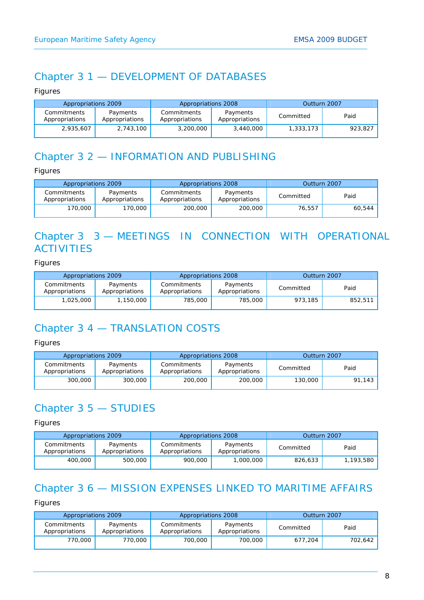# Chapter 3 1 — DEVELOPMENT OF DATABASES

*Figures* 

| Appropriations 2009           |                            | Appropriations 2008           |                            | Outturn 2007 |         |
|-------------------------------|----------------------------|-------------------------------|----------------------------|--------------|---------|
| Commitments<br>Appropriations | Payments<br>Appropriations | Commitments<br>Appropriations | Payments<br>Appropriations | Committed    | Paid    |
| 2,935,607                     | 2,743,100                  | 3,200,000                     | 3,440,000                  | 1,333,173    | 923,827 |

## Chapter 3 2 — INFORMATION AND PUBLISHING

*Figures* 

| Appropriations 2009           |                            | Appropriations 2008           |                            | Outturn 2007 |        |
|-------------------------------|----------------------------|-------------------------------|----------------------------|--------------|--------|
| Commitments<br>Appropriations | Payments<br>Appropriations | Commitments<br>Appropriations | Payments<br>Appropriations | Committed    | Paid   |
| 170,000,                      | 170,000                    | 200,000                       | 200,000                    | 76,557       | 60,544 |

# Chapter 3 3 — MEETINGS IN CONNECTION WITH OPERATIONAL **ACTIVITIES**

*Figures* 

| Appropriations 2009           |                            | Appropriations 2008           |                            | Outturn 2007 |         |
|-------------------------------|----------------------------|-------------------------------|----------------------------|--------------|---------|
| Commitments<br>Appropriations | Payments<br>Appropriations | Commitments<br>Appropriations | Payments<br>Appropriations | Committed    | Paid    |
| 1,025,000                     | ,150,000                   | 785,000                       | 785,000                    | 973,185      | 852,511 |

# Chapter 3 4 — TRANSLATION COSTS

*Figures* 

| Appropriations 2009           |                            | Appropriations 2008           |                            | Outturn 2007 |        |
|-------------------------------|----------------------------|-------------------------------|----------------------------|--------------|--------|
| Commitments<br>Appropriations | Payments<br>Appropriations | Commitments<br>Appropriations | Payments<br>Appropriations | Committed    | Paid   |
| 300,000                       | 300,000                    | 200,000                       | 200,000                    | 130,000      | 91.143 |

# Chapter 3 5 — STUDIES

*Figures* 

| Appropriations 2009           |                            | Appropriations 2008           |                            | Outturn 2007 |           |
|-------------------------------|----------------------------|-------------------------------|----------------------------|--------------|-----------|
| Commitments<br>Appropriations | Payments<br>Appropriations | Commitments<br>Appropriations | Payments<br>Appropriations |              | Paid      |
| 400,000                       | 500,000                    | 900,000                       | 1,000,000                  | 826,633      | 1,193,580 |

# Chapter 3 6 — MISSION EXPENSES LINKED TO MARITIME AFFAIRS

| Appropriations 2009           |                            | Appropriations 2008           |                            | Outturn 2007 |         |
|-------------------------------|----------------------------|-------------------------------|----------------------------|--------------|---------|
| Commitments<br>Appropriations | Payments<br>Appropriations | Commitments<br>Appropriations | Payments<br>Appropriations | Committed    | Paid    |
| 770,000                       | 770,000                    | 700,000                       | 700,000                    | 677,204      | 702,642 |